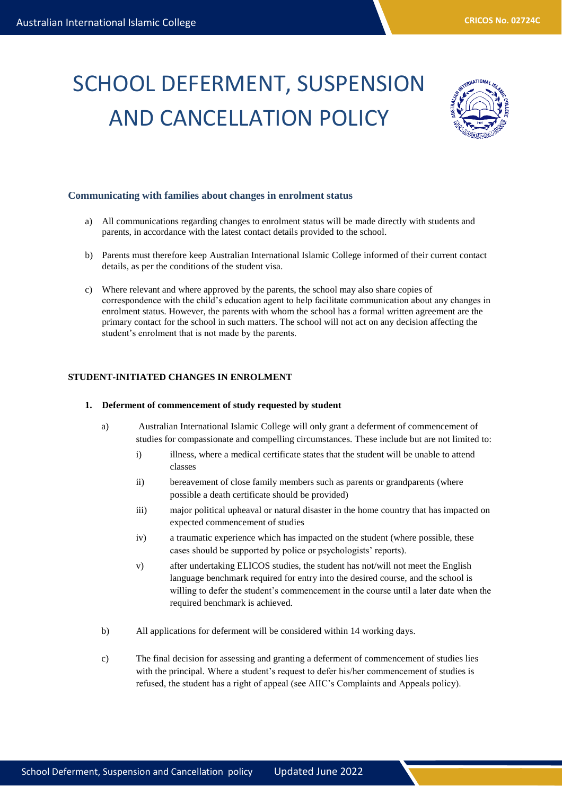# SCHOOL DEFERMENT, SUSPENSION AND CANCELLATION POLICY



# **Communicating with families about changes in enrolment status**

- a) All communications regarding changes to enrolment status will be made directly with students and parents, in accordance with the latest contact details provided to the school.
- b) Parents must therefore keep Australian International Islamic College informed of their current contact details, as per the conditions of the student visa.
- c) Where relevant and where approved by the parents, the school may also share copies of correspondence with the child's education agent to help facilitate communication about any changes in enrolment status. However, the parents with whom the school has a formal written agreement are the primary contact for the school in such matters. The school will not act on any decision affecting the student's enrolment that is not made by the parents.

## **STUDENT-INITIATED CHANGES IN ENROLMENT**

#### **1. Deferment of commencement of study requested by student**

- a) Australian International Islamic College will only grant a deferment of commencement of studies for compassionate and compelling circumstances. These include but are not limited to:
	- i) illness, where a medical certificate states that the student will be unable to attend classes
	- ii) bereavement of close family members such as parents or grandparents (where possible a death certificate should be provided)
	- iii) major political upheaval or natural disaster in the home country that has impacted on expected commencement of studies
	- iv) a traumatic experience which has impacted on the student (where possible, these cases should be supported by police or psychologists' reports).
	- v) after undertaking ELICOS studies, the student has not/will not meet the English language benchmark required for entry into the desired course, and the school is willing to defer the student's commencement in the course until a later date when the required benchmark is achieved.
- b) All applications for deferment will be considered within 14 working days.
- c) The final decision for assessing and granting a deferment of commencement of studies lies with the principal*.* Where a student's request to defer his/her commencement of studies is refused, the student has a right of appeal (see AIIC's Complaints and Appeals policy).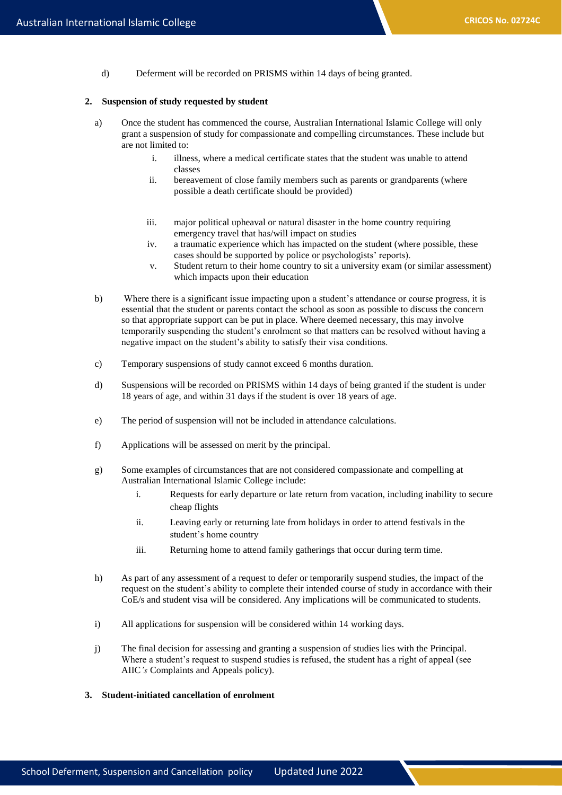d) Deferment will be recorded on PRISMS within 14 days of being granted.

## **2. Suspension of study requested by student**

- a) Once the student has commenced the course, Australian International Islamic College will only grant a suspension of study for compassionate and compelling circumstances. These include but are not limited to:
	- i. illness, where a medical certificate states that the student was unable to attend classes
	- ii. bereavement of close family members such as parents or grandparents (where possible a death certificate should be provided)
	- iii. major political upheaval or natural disaster in the home country requiring emergency travel that has/will impact on studies
	- iv. a traumatic experience which has impacted on the student (where possible, these cases should be supported by police or psychologists' reports).
	- v. Student return to their home country to sit a university exam (or similar assessment) which impacts upon their education
- b) Where there is a significant issue impacting upon a student's attendance or course progress, it is essential that the student or parents contact the school as soon as possible to discuss the concern so that appropriate support can be put in place. Where deemed necessary, this may involve temporarily suspending the student's enrolment so that matters can be resolved without having a negative impact on the student's ability to satisfy their visa conditions.
- c) Temporary suspensions of study cannot exceed 6 months duration.
- d) Suspensions will be recorded on PRISMS within 14 days of being granted if the student is under 18 years of age, and within 31 days if the student is over 18 years of age.
- e) The period of suspension will not be included in attendance calculations.
- f) Applications will be assessed on merit by the principal.
- g) Some examples of circumstances that are not considered compassionate and compelling at Australian International Islamic College include:
	- i. Requests for early departure or late return from vacation, including inability to secure cheap flights
	- ii. Leaving early or returning late from holidays in order to attend festivals in the student's home country
	- iii. Returning home to attend family gatherings that occur during term time.
- h) As part of any assessment of a request to defer or temporarily suspend studies, the impact of the request on the student's ability to complete their intended course of study in accordance with their CoE/s and student visa will be considered. Any implications will be communicated to students.
- i) All applications for suspension will be considered within 14 working days.
- j) The final decision for assessing and granting a suspension of studies lies with the Principal. Where a student's request to suspend studies is refused, the student has a right of appeal (see AIIC*'s* Complaints and Appeals policy).

#### **3. Student-initiated cancellation of enrolment**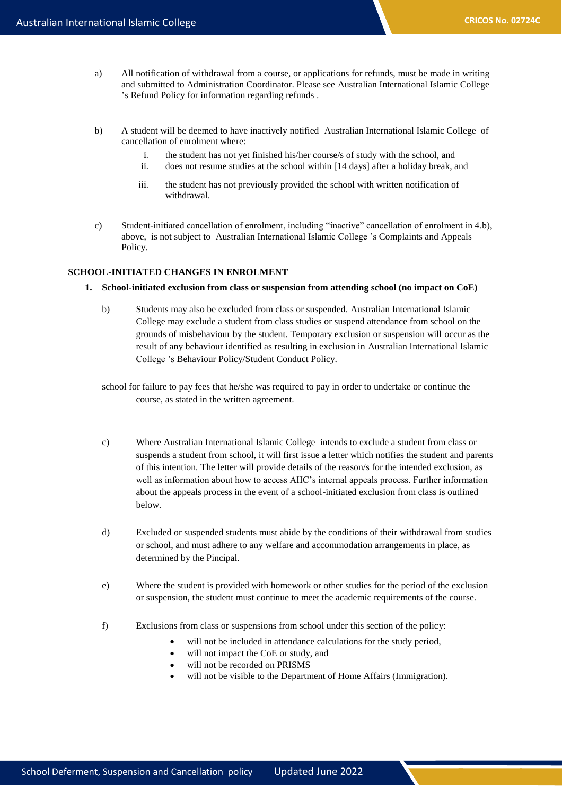- a) All notification of withdrawal from a course, or applications for refunds, must be made in writing and submitted to Administration Coordinator. Please see Australian International Islamic College 's Refund Policy for information regarding refunds .
- b) A student will be deemed to have inactively notified Australian International Islamic College of cancellation of enrolment where:
	- i. the student has not yet finished his/her course/s of study with the school, and
	- ii. does not resume studies at the school within [14 days] after a holiday break, and
	- iii. the student has not previously provided the school with written notification of withdrawal.
- c) Student-initiated cancellation of enrolment, including "inactive" cancellation of enrolment in 4.b), above, is not subject to Australian International Islamic College 's Complaints and Appeals Policy.

## **SCHOOL-INITIATED CHANGES IN ENROLMENT**

- **1. School-initiated exclusion from class or suspension from attending school (no impact on CoE)**
	- b) Students may also be excluded from class or suspended. Australian International Islamic College may exclude a student from class studies or suspend attendance from school on the grounds of misbehaviour by the student. Temporary exclusion or suspension will occur as the result of any behaviour identified as resulting in exclusion in Australian International Islamic College 's Behaviour Policy/Student Conduct Policy.
	- school for failure to pay fees that he/she was required to pay in order to undertake or continue the course, as stated in the written agreement.
	- c) Where Australian International Islamic College intends to exclude a student from class or suspends a student from school, it will first issue a letter which notifies the student and parents of this intention*.* The letter will provide details of the reason/s for the intended exclusion, as well as information about how to access AIIC's internal appeals process. Further information about the appeals process in the event of a school-initiated exclusion from class is outlined below.
	- d) Excluded or suspended students must abide by the conditions of their withdrawal from studies or school, and must adhere to any welfare and accommodation arrangements in place, as determined by the Pincipal.
	- e) Where the student is provided with homework or other studies for the period of the exclusion or suspension, the student must continue to meet the academic requirements of the course.
	- f) Exclusions from class or suspensions from school under this section of the policy:
		- will not be included in attendance calculations for the study period,
		- will not impact the CoE or study, and
		- will not be recorded on PRISMS
		- will not be visible to the Department of Home Affairs (Immigration).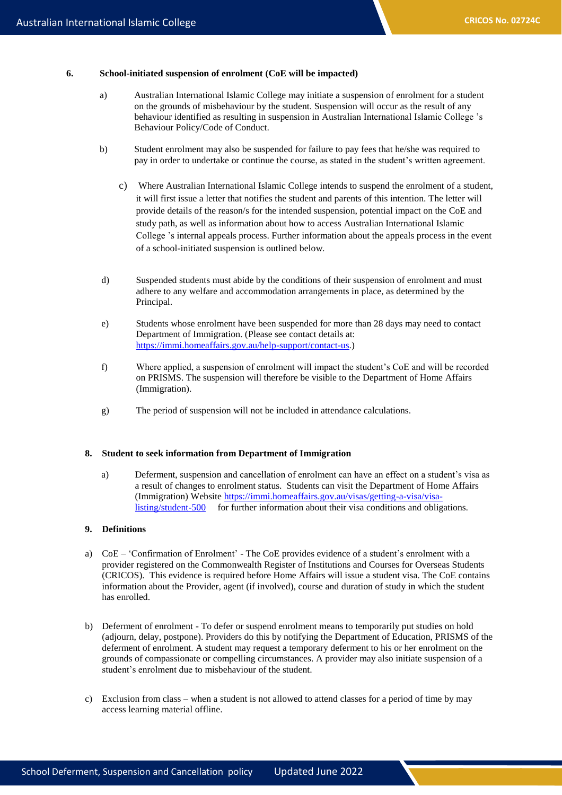#### **6. School-initiated suspension of enrolment (CoE will be impacted)**

- a) Australian International Islamic College may initiate a suspension of enrolment for a student on the grounds of misbehaviour by the student. Suspension will occur as the result of any behaviour identified as resulting in suspension in Australian International Islamic College 's Behaviour Policy/Code of Conduct.
- b) Student enrolment may also be suspended for failure to pay fees that he/she was required to pay in order to undertake or continue the course, as stated in the student's written agreement.
	- c) Where Australian International Islamic College intends to suspend the enrolment of a student, it will first issue a letter that notifies the student and parents of this intention. The letter will provide details of the reason/s for the intended suspension, potential impact on the CoE and study path, as well as information about how to access Australian International Islamic College 's internal appeals process. Further information about the appeals process in the event of a school-initiated suspension is outlined below.
- d) Suspended students must abide by the conditions of their suspension of enrolment and must adhere to any welfare and accommodation arrangements in place, as determined by the Principal.
- e) Students whose enrolment have been suspended for more than 28 days may need to contact Department of Immigration. (Please see contact details at: [https://immi.homeaffairs.gov.au/help-support/contact-us.](https://immi.homeaffairs.gov.au/help-support/contact-us))
- f) Where applied, a suspension of enrolment will impact the student's CoE and will be recorded on PRISMS. The suspension will therefore be visible to the Department of Home Affairs (Immigration).
- g) The period of suspension will not be included in attendance calculations.

#### **8. Student to seek information from Department of Immigration**

a) Deferment, suspension and cancellation of enrolment can have an effect on a student's visa as a result of changes to enrolment status. Students can visit the Department of Home Affairs (Immigration) Website [https://immi.homeaffairs.gov.au/visas/getting-a-visa/visa](https://immi.homeaffairs.gov.au/visas/getting-a-visa/visa-listing/student-500)[listing/student-500](https://immi.homeaffairs.gov.au/visas/getting-a-visa/visa-listing/student-500) for further information about their visa conditions and obligations.

# **9. Definitions**

- a) CoE 'Confirmation of Enrolment' The CoE provides evidence of a student's enrolment with a provider registered on the Commonwealth Register of Institutions and Courses for Overseas Students (CRICOS). This evidence is required before Home Affairs will issue a student visa. The CoE contains information about the Provider, agent (if involved), course and duration of study in which the student has enrolled.
- b) Deferment of enrolment To defer or suspend enrolment means to temporarily put studies on hold (adjourn, delay, postpone). Providers do this by notifying the Department of Education, PRISMS of the deferment of enrolment. A student may request a temporary deferment to his or her enrolment on the grounds of compassionate or compelling circumstances. A provider may also initiate suspension of a student's enrolment due to misbehaviour of the student.
- c) Exclusion from class when a student is not allowed to attend classes for a period of time by may access learning material offline.